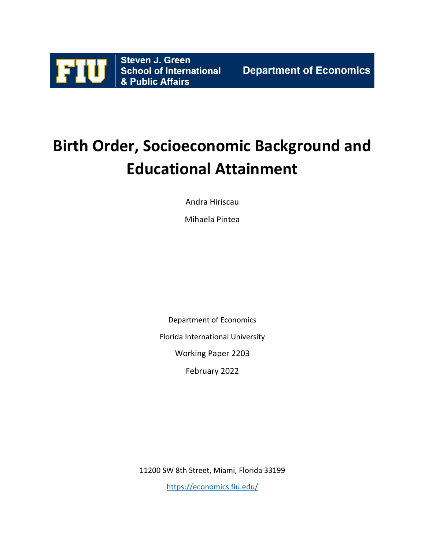

# **Birth Order, Socioeconomic Background and Educational Attainment**

Andra Hiriscau

Mihaela Pintea

Department of Economics

Florida International University

Working Paper 2203

February 2022

11200 SW 8th Street, Miami, Florida 33199

<https://economics.fiu.edu/>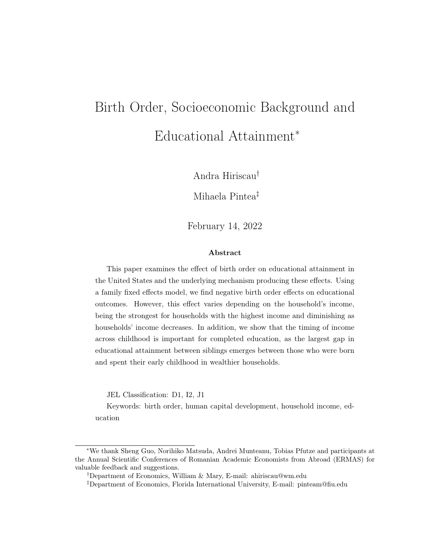# Birth Order, Socioeconomic Background and Educational Attainment<sup>∗</sup>

Andra Hiriscau†

Mihaela Pintea‡

February 14, 2022

#### Abstract

This paper examines the effect of birth order on educational attainment in the United States and the underlying mechanism producing these effects. Using a family fixed effects model, we find negative birth order effects on educational outcomes. However, this effect varies depending on the household's income, being the strongest for households with the highest income and diminishing as households' income decreases. In addition, we show that the timing of income across childhood is important for completed education, as the largest gap in educational attainment between siblings emerges between those who were born and spent their early childhood in wealthier households.

JEL Classification: D1, I2, J1

Keywords: birth order, human capital development, household income, education

<sup>∗</sup>We thank Sheng Guo, Norihiko Matsuda, Andrei Munteanu, Tobias Pfutze and participants at the Annual Scientific Conferences of Romanian Academic Economists from Abroad (ERMAS) for valuable feedback and suggestions.

<sup>†</sup>Department of Economics, William & Mary, E-mail: ahiriscau@wm.edu

<sup>‡</sup>Department of Economics, Florida International University, E-mail: pinteam@fiu.edu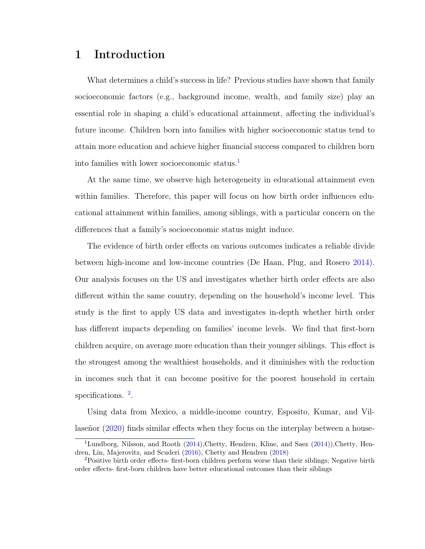# 1 Introduction

What determines a child's success in life? Previous studies have shown that family socioeconomic factors (e.g., background income, wealth, and family size) play an essential role in shaping a child's educational attainment, affecting the individual's future income. Children born into families with higher socioeconomic status tend to attain more education and achieve higher financial success compared to children born into families with lower socioeconomic status.<sup>[1](#page-2-0)</sup>

At the same time, we observe high heterogeneity in educational attainment even within families. Therefore, this paper will focus on how birth order influences educational attainment within families, among siblings, with a particular concern on the differences that a family's socioeconomic status might induce.

The evidence of birth order effects on various outcomes indicates a reliable divide between high-income and low-income countries (De Haan, Plug, and Rosero [2014\)](#page-34-0). Our analysis focuses on the US and investigates whether birth order effects are also different within the same country, depending on the household's income level. This study is the first to apply US data and investigates in-depth whether birth order has different impacts depending on families' income levels. We find that first-born children acquire, on average more education than their younger siblings. This effect is the strongest among the wealthiest households, and it diminishes with the reduction in incomes such that it can become positive for the poorest household in certain specifications. <sup>[2](#page-2-1)</sup>.

Using data from Mexico, a middle-income country, Esposito, Kumar, and Villaseñor [\(2020\)](#page-35-0) finds similar effects when they focus on the interplay between a house-

<span id="page-2-0"></span><sup>&</sup>lt;sup>1</sup>Lundborg, Nilsson, and Rooth  $(2014)$ , Chetty, Hendren, Kline, and Saez  $(2014)$ ), Chetty, Hendren, Lin, Majerovitz, and Scuderi [\(2016\)](#page-34-2), Chetty and Hendren [\(2018\)](#page-34-3)

<span id="page-2-1"></span><sup>2</sup>Positive birth order effects- first-born children perform worse than their siblings; Negative birth order effects- first-born children have better educational outcomes than their siblings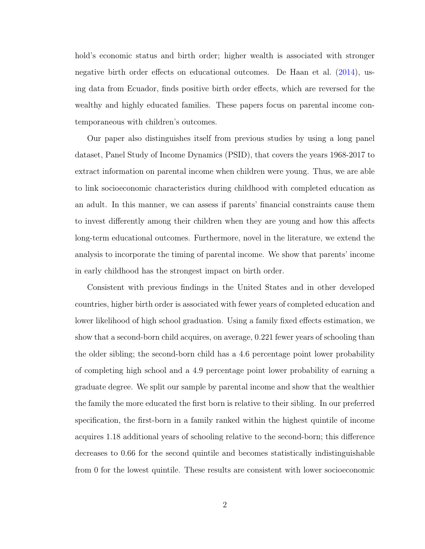hold's economic status and birth order; higher wealth is associated with stronger negative birth order effects on educational outcomes. De Haan et al. [\(2014\)](#page-34-0), using data from Ecuador, finds positive birth order effects, which are reversed for the wealthy and highly educated families. These papers focus on parental income contemporaneous with children's outcomes.

Our paper also distinguishes itself from previous studies by using a long panel dataset, Panel Study of Income Dynamics (PSID), that covers the years 1968-2017 to extract information on parental income when children were young. Thus, we are able to link socioeconomic characteristics during childhood with completed education as an adult. In this manner, we can assess if parents' financial constraints cause them to invest differently among their children when they are young and how this affects long-term educational outcomes. Furthermore, novel in the literature, we extend the analysis to incorporate the timing of parental income. We show that parents' income in early childhood has the strongest impact on birth order.

Consistent with previous findings in the United States and in other developed countries, higher birth order is associated with fewer years of completed education and lower likelihood of high school graduation. Using a family fixed effects estimation, we show that a second-born child acquires, on average, 0.221 fewer years of schooling than the older sibling; the second-born child has a 4.6 percentage point lower probability of completing high school and a 4.9 percentage point lower probability of earning a graduate degree. We split our sample by parental income and show that the wealthier the family the more educated the first born is relative to their sibling. In our preferred specification, the first-born in a family ranked within the highest quintile of income acquires 1.18 additional years of schooling relative to the second-born; this difference decreases to 0.66 for the second quintile and becomes statistically indistinguishable from 0 for the lowest quintile. These results are consistent with lower socioeconomic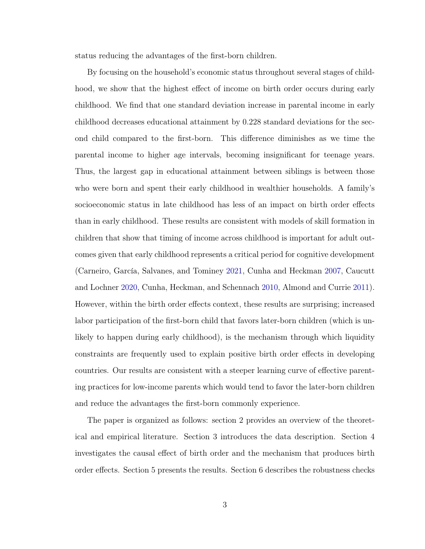status reducing the advantages of the first-born children.

By focusing on the household's economic status throughout several stages of childhood, we show that the highest effect of income on birth order occurs during early childhood. We find that one standard deviation increase in parental income in early childhood decreases educational attainment by 0.228 standard deviations for the second child compared to the first-born. This difference diminishes as we time the parental income to higher age intervals, becoming insignificant for teenage years. Thus, the largest gap in educational attainment between siblings is between those who were born and spent their early childhood in wealthier households. A family's socioeconomic status in late childhood has less of an impact on birth order effects than in early childhood. These results are consistent with models of skill formation in children that show that timing of income across childhood is important for adult outcomes given that early childhood represents a critical period for cognitive development (Carneiro, García, Salvanes, and Tominey [2021,](#page-34-4) Cunha and Heckman [2007,](#page-34-5) Caucutt and Lochner [2020,](#page-34-6) Cunha, Heckman, and Schennach [2010,](#page-34-7) Almond and Currie [2011\)](#page-33-0). However, within the birth order effects context, these results are surprising; increased labor participation of the first-born child that favors later-born children (which is unlikely to happen during early childhood), is the mechanism through which liquidity constraints are frequently used to explain positive birth order effects in developing countries. Our results are consistent with a steeper learning curve of effective parenting practices for low-income parents which would tend to favor the later-born children and reduce the advantages the first-born commonly experience.

The paper is organized as follows: section 2 provides an overview of the theoretical and empirical literature. Section 3 introduces the data description. Section 4 investigates the causal effect of birth order and the mechanism that produces birth order effects. Section 5 presents the results. Section 6 describes the robustness checks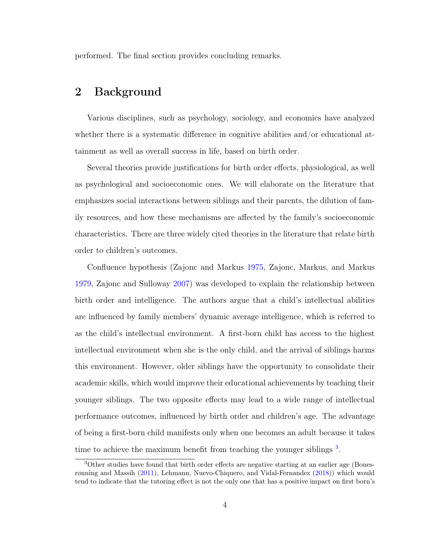performed. The final section provides concluding remarks.

## 2 Background

Various disciplines, such as psychology, sociology, and economics have analyzed whether there is a systematic difference in cognitive abilities and/or educational attainment as well as overall success in life, based on birth order.

Several theories provide justifications for birth order effects, physiological, as well as psychological and socioeconomic ones. We will elaborate on the literature that emphasizes social interactions between siblings and their parents, the dilution of family resources, and how these mechanisms are affected by the family's socioeconomic characteristics. There are three widely cited theories in the literature that relate birth order to children's outcomes.

Confluence hypothesis (Zajonc and Markus [1975,](#page-37-0) Zajonc, Markus, and Markus [1979,](#page-37-1) Zajonc and Sulloway [2007\)](#page-37-2) was developed to explain the relationship between birth order and intelligence. The authors argue that a child's intellectual abilities are influenced by family members' dynamic average intelligence, which is referred to as the child's intellectual environment. A first-born child has access to the highest intellectual environment when she is the only child, and the arrival of siblings harms this environment. However, older siblings have the opportunity to consolidate their academic skills, which would improve their educational achievements by teaching their younger siblings. The two opposite effects may lead to a wide range of intellectual performance outcomes, influenced by birth order and children's age. The advantage of being a first-born child manifests only when one becomes an adult because it takes time to achieve the maximum benefit from teaching the younger siblings<sup>[3](#page-5-0)</sup>.

<span id="page-5-0"></span><sup>3</sup>Other studies have found that birth order effects are negative starting at an earlier age (Bonesrønning and Massih [\(2011\)](#page-33-1), Lehmann, Nuevo-Chiquero, and Vidal-Fernandez [\(2018\)](#page-36-1)) which would tend to indicate that the tutoring effect is not the only one that has a positive impact on first born's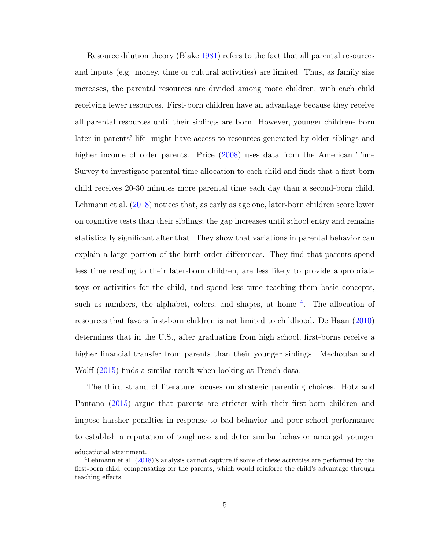Resource dilution theory (Blake [1981\)](#page-33-2) refers to the fact that all parental resources and inputs (e.g. money, time or cultural activities) are limited. Thus, as family size increases, the parental resources are divided among more children, with each child receiving fewer resources. First-born children have an advantage because they receive all parental resources until their siblings are born. However, younger children- born later in parents' life- might have access to resources generated by older siblings and higher income of older parents. Price [\(2008\)](#page-36-2) uses data from the American Time Survey to investigate parental time allocation to each child and finds that a first-born child receives 20-30 minutes more parental time each day than a second-born child. Lehmann et al. [\(2018\)](#page-36-1) notices that, as early as age one, later-born children score lower on cognitive tests than their siblings; the gap increases until school entry and remains statistically significant after that. They show that variations in parental behavior can explain a large portion of the birth order differences. They find that parents spend less time reading to their later-born children, are less likely to provide appropriate toys or activities for the child, and spend less time teaching them basic concepts, such as numbers, the alphabet, colors, and shapes, at home <sup>[4](#page-6-0)</sup>. The allocation of resources that favors first-born children is not limited to childhood. De Haan [\(2010\)](#page-34-8) determines that in the U.S., after graduating from high school, first-borns receive a higher financial transfer from parents than their younger siblings. Mechoulan and Wolff [\(2015\)](#page-36-3) finds a similar result when looking at French data.

The third strand of literature focuses on strategic parenting choices. Hotz and Pantano [\(2015\)](#page-35-1) argue that parents are stricter with their first-born children and impose harsher penalties in response to bad behavior and poor school performance to establish a reputation of toughness and deter similar behavior amongst younger

educational attainment.

<span id="page-6-0"></span><sup>4</sup>Lehmann et al. [\(2018\)](#page-36-1)'s analysis cannot capture if some of these activities are performed by the first-born child, compensating for the parents, which would reinforce the child's advantage through teaching effects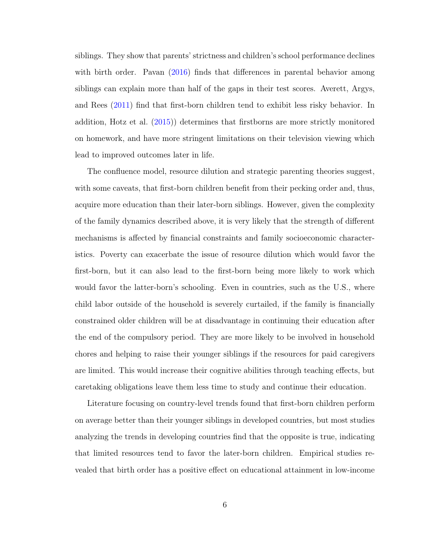siblings. They show that parents' strictness and children's school performance declines with birth order. Pavan [\(2016\)](#page-36-4) finds that differences in parental behavior among siblings can explain more than half of the gaps in their test scores. Averett, Argys, and Rees [\(2011\)](#page-33-3) find that first-born children tend to exhibit less risky behavior. In addition, Hotz et al. [\(2015\)](#page-35-1)) determines that firstborns are more strictly monitored on homework, and have more stringent limitations on their television viewing which lead to improved outcomes later in life.

The confluence model, resource dilution and strategic parenting theories suggest, with some caveats, that first-born children benefit from their pecking order and, thus, acquire more education than their later-born siblings. However, given the complexity of the family dynamics described above, it is very likely that the strength of different mechanisms is affected by financial constraints and family socioeconomic characteristics. Poverty can exacerbate the issue of resource dilution which would favor the first-born, but it can also lead to the first-born being more likely to work which would favor the latter-born's schooling. Even in countries, such as the U.S., where child labor outside of the household is severely curtailed, if the family is financially constrained older children will be at disadvantage in continuing their education after the end of the compulsory period. They are more likely to be involved in household chores and helping to raise their younger siblings if the resources for paid caregivers are limited. This would increase their cognitive abilities through teaching effects, but caretaking obligations leave them less time to study and continue their education.

Literature focusing on country-level trends found that first-born children perform on average better than their younger siblings in developed countries, but most studies analyzing the trends in developing countries find that the opposite is true, indicating that limited resources tend to favor the later-born children. Empirical studies revealed that birth order has a positive effect on educational attainment in low-income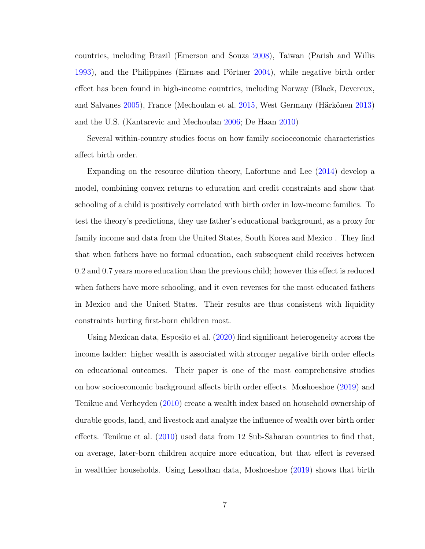countries, including Brazil (Emerson and Souza [2008\)](#page-35-2), Taiwan (Parish and Willis [1993\)](#page-36-5), and the Philippines (Eirnæs and Pörtner [2004\)](#page-35-3), while negative birth order effect has been found in high-income countries, including Norway (Black, Devereux, and Salvanes [2005\)](#page-33-4), France (Mechoulan et al. [2015,](#page-36-3) West Germany (Härkönen [2013\)](#page-35-4) and the U.S. (Kantarevic and Mechoulan [2006;](#page-35-5) De Haan [2010\)](#page-34-8)

Several within-country studies focus on how family socioeconomic characteristics affect birth order.

Expanding on the resource dilution theory, Lafortune and Lee [\(2014\)](#page-36-6) develop a model, combining convex returns to education and credit constraints and show that schooling of a child is positively correlated with birth order in low-income families. To test the theory's predictions, they use father's educational background, as a proxy for family income and data from the United States, South Korea and Mexico . They find that when fathers have no formal education, each subsequent child receives between 0.2 and 0.7 years more education than the previous child; however this effect is reduced when fathers have more schooling, and it even reverses for the most educated fathers in Mexico and the United States. Their results are thus consistent with liquidity constraints hurting first-born children most.

Using Mexican data, Esposito et al. [\(2020\)](#page-35-0) find significant heterogeneity across the income ladder: higher wealth is associated with stronger negative birth order effects on educational outcomes. Their paper is one of the most comprehensive studies on how socioeconomic background affects birth order effects. Moshoeshoe [\(2019\)](#page-36-7) and Tenikue and Verheyden [\(2010\)](#page-36-8) create a wealth index based on household ownership of durable goods, land, and livestock and analyze the influence of wealth over birth order effects. Tenikue et al. [\(2010\)](#page-36-8) used data from 12 Sub-Saharan countries to find that, on average, later-born children acquire more education, but that effect is reversed in wealthier households. Using Lesothan data, Moshoeshoe [\(2019\)](#page-36-7) shows that birth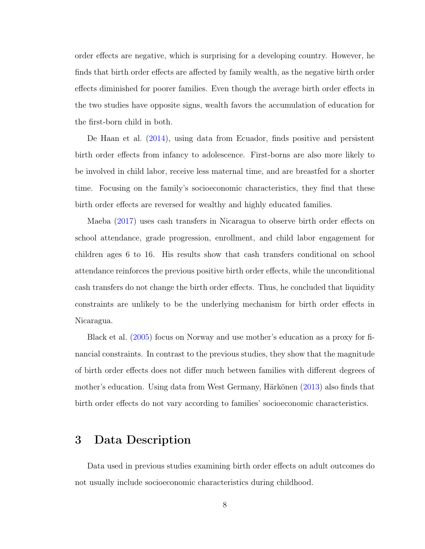order effects are negative, which is surprising for a developing country. However, he finds that birth order effects are affected by family wealth, as the negative birth order effects diminished for poorer families. Even though the average birth order effects in the two studies have opposite signs, wealth favors the accumulation of education for the first-born child in both.

De Haan et al. [\(2014\)](#page-34-0), using data from Ecuador, finds positive and persistent birth order effects from infancy to adolescence. First-borns are also more likely to be involved in child labor, receive less maternal time, and are breastfed for a shorter time. Focusing on the family's socioeconomic characteristics, they find that these birth order effects are reversed for wealthy and highly educated families.

Maeba [\(2017\)](#page-36-9) uses cash transfers in Nicaragua to observe birth order effects on school attendance, grade progression, enrollment, and child labor engagement for children ages 6 to 16. His results show that cash transfers conditional on school attendance reinforces the previous positive birth order effects, while the unconditional cash transfers do not change the birth order effects. Thus, he concluded that liquidity constraints are unlikely to be the underlying mechanism for birth order effects in Nicaragua.

Black et al. [\(2005\)](#page-33-4) focus on Norway and use mother's education as a proxy for financial constraints. In contrast to the previous studies, they show that the magnitude of birth order effects does not differ much between families with different degrees of mother's education. Using data from West Germany, Härkönen [\(2013\)](#page-35-4) also finds that birth order effects do not vary according to families' socioeconomic characteristics.

## 3 Data Description

Data used in previous studies examining birth order effects on adult outcomes do not usually include socioeconomic characteristics during childhood.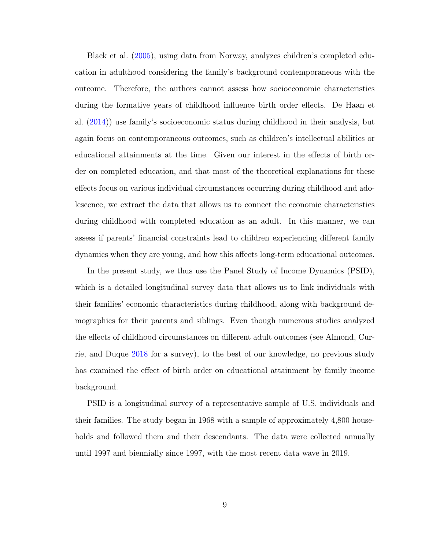Black et al. [\(2005\)](#page-33-4), using data from Norway, analyzes children's completed education in adulthood considering the family's background contemporaneous with the outcome. Therefore, the authors cannot assess how socioeconomic characteristics during the formative years of childhood influence birth order effects. De Haan et al. [\(2014\)](#page-34-0)) use family's socioeconomic status during childhood in their analysis, but again focus on contemporaneous outcomes, such as children's intellectual abilities or educational attainments at the time. Given our interest in the effects of birth order on completed education, and that most of the theoretical explanations for these effects focus on various individual circumstances occurring during childhood and adolescence, we extract the data that allows us to connect the economic characteristics during childhood with completed education as an adult. In this manner, we can assess if parents' financial constraints lead to children experiencing different family dynamics when they are young, and how this affects long-term educational outcomes.

In the present study, we thus use the Panel Study of Income Dynamics (PSID), which is a detailed longitudinal survey data that allows us to link individuals with their families' economic characteristics during childhood, along with background demographics for their parents and siblings. Even though numerous studies analyzed the effects of childhood circumstances on different adult outcomes (see Almond, Currie, and Duque [2018](#page-33-5) for a survey), to the best of our knowledge, no previous study has examined the effect of birth order on educational attainment by family income background.

PSID is a longitudinal survey of a representative sample of U.S. individuals and their families. The study began in 1968 with a sample of approximately 4,800 households and followed them and their descendants. The data were collected annually until 1997 and biennially since 1997, with the most recent data wave in 2019.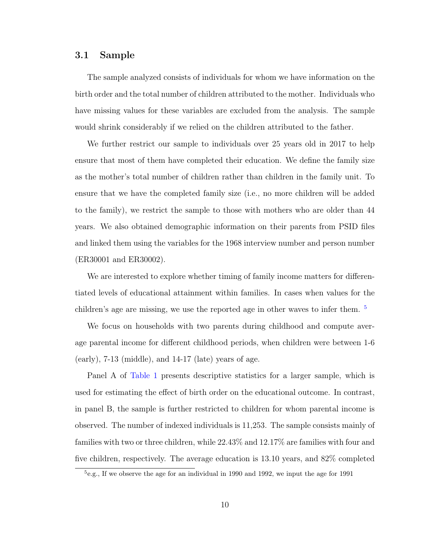#### 3.1 Sample

The sample analyzed consists of individuals for whom we have information on the birth order and the total number of children attributed to the mother. Individuals who have missing values for these variables are excluded from the analysis. The sample would shrink considerably if we relied on the children attributed to the father.

We further restrict our sample to individuals over 25 years old in 2017 to help ensure that most of them have completed their education. We define the family size as the mother's total number of children rather than children in the family unit. To ensure that we have the completed family size (i.e., no more children will be added to the family), we restrict the sample to those with mothers who are older than 44 years. We also obtained demographic information on their parents from PSID files and linked them using the variables for the 1968 interview number and person number (ER30001 and ER30002).

We are interested to explore whether timing of family income matters for differentiated levels of educational attainment within families. In cases when values for the children's age are missing, we use the reported age in other waves to infer them.  $5$ 

We focus on households with two parents during childhood and compute average parental income for different childhood periods, when children were between 1-6  $(early)$ , 7-13 (middle), and 14-17 (late) years of age.

Panel A of [Table 1](#page-23-0) presents descriptive statistics for a larger sample, which is used for estimating the effect of birth order on the educational outcome. In contrast, in panel B, the sample is further restricted to children for whom parental income is observed. The number of indexed individuals is 11,253. The sample consists mainly of families with two or three children, while 22.43% and 12.17% are families with four and five children, respectively. The average education is 13.10 years, and 82% completed

<span id="page-11-0"></span><sup>&</sup>lt;sup>5</sup>e.g., If we observe the age for an individual in 1990 and 1992, we input the age for 1991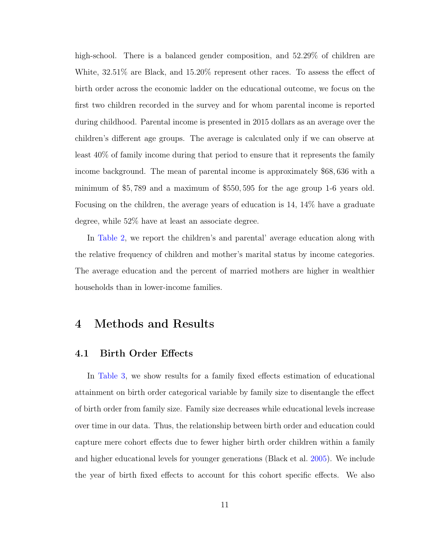high-school. There is a balanced gender composition, and 52.29% of children are White, 32.51% are Black, and 15.20% represent other races. To assess the effect of birth order across the economic ladder on the educational outcome, we focus on the first two children recorded in the survey and for whom parental income is reported during childhood. Parental income is presented in 2015 dollars as an average over the children's different age groups. The average is calculated only if we can observe at least 40% of family income during that period to ensure that it represents the family income background. The mean of parental income is approximately \$68, 636 with a minimum of \$5, 789 and a maximum of \$550, 595 for the age group 1-6 years old. Focusing on the children, the average years of education is 14, 14% have a graduate degree, while 52% have at least an associate degree.

In [Table 2,](#page-24-0) we report the children's and parental' average education along with the relative frequency of children and mother's marital status by income categories. The average education and the percent of married mothers are higher in wealthier households than in lower-income families.

## 4 Methods and Results

#### 4.1 Birth Order Effects

In [Table 3,](#page-25-0) we show results for a family fixed effects estimation of educational attainment on birth order categorical variable by family size to disentangle the effect of birth order from family size. Family size decreases while educational levels increase over time in our data. Thus, the relationship between birth order and education could capture mere cohort effects due to fewer higher birth order children within a family and higher educational levels for younger generations (Black et al. [2005\)](#page-33-4). We include the year of birth fixed effects to account for this cohort specific effects. We also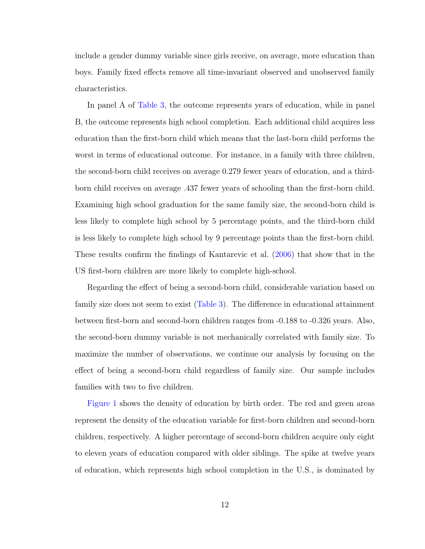include a gender dummy variable since girls receive, on average, more education than boys. Family fixed effects remove all time-invariant observed and unobserved family characteristics.

In panel A of [Table 3,](#page-25-0) the outcome represents years of education, while in panel B, the outcome represents high school completion. Each additional child acquires less education than the first-born child which means that the last-born child performs the worst in terms of educational outcome. For instance, in a family with three children, the second-born child receives on average 0.279 fewer years of education, and a thirdborn child receives on average .437 fewer years of schooling than the first-born child. Examining high school graduation for the same family size, the second-born child is less likely to complete high school by 5 percentage points, and the third-born child is less likely to complete high school by 9 percentage points than the first-born child. These results confirm the findings of Kantarevic et al. [\(2006\)](#page-35-5) that show that in the US first-born children are more likely to complete high-school.

Regarding the effect of being a second-born child, considerable variation based on family size does not seem to exist [\(Table 3\)](#page-25-0). The difference in educational attainment between first-born and second-born children ranges from -0.188 to -0.326 years. Also, the second-born dummy variable is not mechanically correlated with family size. To maximize the number of observations, we continue our analysis by focusing on the effect of being a second-born child regardless of family size. Our sample includes families with two to five children.

[Figure 1](#page-32-0) shows the density of education by birth order. The red and green areas represent the density of the education variable for first-born children and second-born children, respectively. A higher percentage of second-born children acquire only eight to eleven years of education compared with older siblings. The spike at twelve years of education, which represents high school completion in the U.S., is dominated by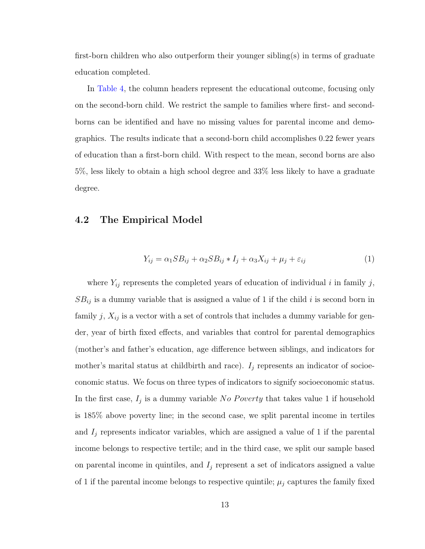first-born children who also outperform their younger sibling(s) in terms of graduate education completed.

In [Table 4,](#page-26-0) the column headers represent the educational outcome, focusing only on the second-born child. We restrict the sample to families where first- and secondborns can be identified and have no missing values for parental income and demographics. The results indicate that a second-born child accomplishes 0.22 fewer years of education than a first-born child. With respect to the mean, second borns are also 5%, less likely to obtain a high school degree and 33% less likely to have a graduate degree.

#### 4.2 The Empirical Model

$$
Y_{ij} = \alpha_1 SB_{ij} + \alpha_2 SB_{ij} * I_j + \alpha_3 X_{ij} + \mu_j + \varepsilon_{ij}
$$
\n<sup>(1)</sup>

where  $Y_{ij}$  represents the completed years of education of individual i in family j,  $SB_{ij}$  is a dummy variable that is assigned a value of 1 if the child i is second born in family  $j$ ,  $X_{ij}$  is a vector with a set of controls that includes a dummy variable for gender, year of birth fixed effects, and variables that control for parental demographics (mother's and father's education, age difference between siblings, and indicators for mother's marital status at childbirth and race).  $I_j$  represents an indicator of socioeconomic status. We focus on three types of indicators to signify socioeconomic status. In the first case,  $I_j$  is a dummy variable No Poverty that takes value 1 if household is 185% above poverty line; in the second case, we split parental income in tertiles and  $I_j$  represents indicator variables, which are assigned a value of 1 if the parental income belongs to respective tertile; and in the third case, we split our sample based on parental income in quintiles, and  $I_j$  represent a set of indicators assigned a value of 1 if the parental income belongs to respective quintile;  $\mu_j$  captures the family fixed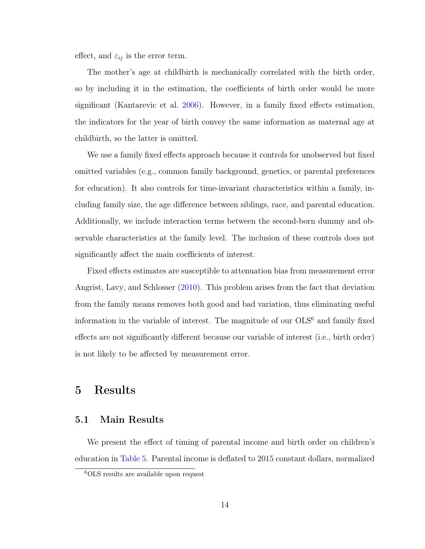effect, and  $\varepsilon_{ij}$  is the error term.

The mother's age at childbirth is mechanically correlated with the birth order, so by including it in the estimation, the coefficients of birth order would be more significant (Kantarevic et al. [2006\)](#page-35-5). However, in a family fixed effects estimation, the indicators for the year of birth convey the same information as maternal age at childbirth, so the latter is omitted.

We use a family fixed effects approach because it controls for unobserved but fixed omitted variables (e.g., common family background, genetics, or parental preferences for education). It also controls for time-invariant characteristics within a family, including family size, the age difference between siblings, race, and parental education. Additionally, we include interaction terms between the second-born dummy and observable characteristics at the family level. The inclusion of these controls does not significantly affect the main coefficients of interest.

Fixed effects estimates are susceptible to attenuation bias from measurement error Angrist, Lavy, and Schlosser [\(2010\)](#page-33-6). This problem arises from the fact that deviation from the family means removes both good and bad variation, thus eliminating useful information in the variable of interest. The magnitude of our  $OLS^6$  $OLS^6$  and family fixed effects are not significantly different because our variable of interest (i.e., birth order) is not likely to be affected by measurement error.

## 5 Results

#### 5.1 Main Results

We present the effect of timing of parental income and birth order on children's education in [Table 5.](#page-27-0) Parental income is deflated to 2015 constant dollars, normalized

<span id="page-15-0"></span><sup>6</sup>OLS results are available upon request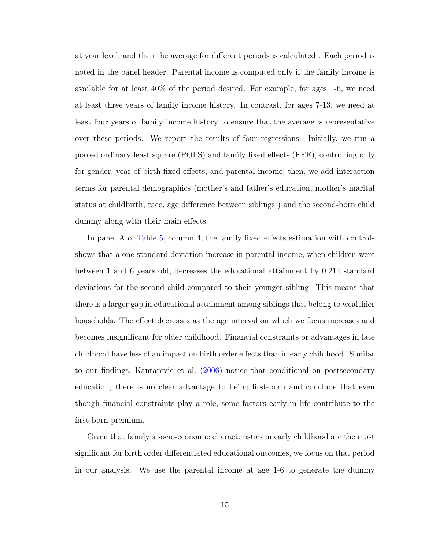at year level, and then the average for different periods is calculated . Each period is noted in the panel header. Parental income is computed only if the family income is available for at least 40% of the period desired. For example, for ages 1-6, we need at least three years of family income history. In contrast, for ages 7-13, we need at least four years of family income history to ensure that the average is representative over these periods. We report the results of four regressions. Initially, we run a pooled ordinary least square (POLS) and family fixed effects (FFE), controlling only for gender, year of birth fixed effects, and parental income; then, we add interaction terms for parental demographics (mother's and father's education, mother's marital status at childbirth, race, age difference between siblings ) and the second-born child dummy along with their main effects.

In panel A of [Table 5,](#page-27-0) column 4, the family fixed effects estimation with controls shows that a one standard deviation increase in parental income, when children were between 1 and 6 years old, decreases the educational attainment by 0.214 standard deviations for the second child compared to their younger sibling. This means that there is a larger gap in educational attainment among siblings that belong to wealthier households. The effect decreases as the age interval on which we focus increases and becomes insignificant for older childhood. Financial constraints or advantages in late childhood have less of an impact on birth order effects than in early childhood. Similar to our findings, Kantarevic et al. [\(2006\)](#page-35-5) notice that conditional on postsecondary education, there is no clear advantage to being first-born and conclude that even though financial constraints play a role, some factors early in life contribute to the first-born premium.

Given that family's socio-economic characteristics in early childhood are the most significant for birth order differentiated educational outcomes, we focus on that period in our analysis. We use the parental income at age 1-6 to generate the dummy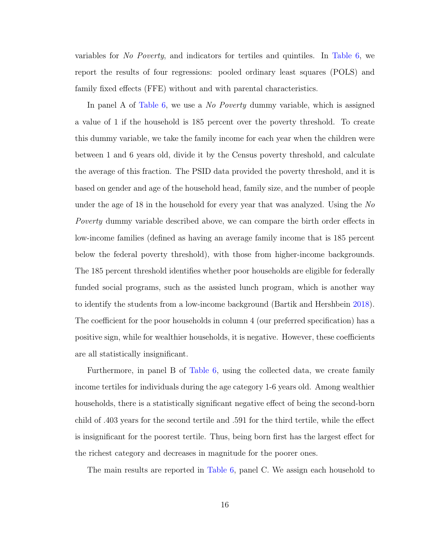variables for No Poverty, and indicators for tertiles and quintiles. In [Table 6,](#page-28-0) we report the results of four regressions: pooled ordinary least squares (POLS) and family fixed effects (FFE) without and with parental characteristics.

In panel A of [Table 6,](#page-28-0) we use a *No Poverty* dummy variable, which is assigned a value of 1 if the household is 185 percent over the poverty threshold. To create this dummy variable, we take the family income for each year when the children were between 1 and 6 years old, divide it by the Census poverty threshold, and calculate the average of this fraction. The PSID data provided the poverty threshold, and it is based on gender and age of the household head, family size, and the number of people under the age of 18 in the household for every year that was analyzed. Using the No Poverty dummy variable described above, we can compare the birth order effects in low-income families (defined as having an average family income that is 185 percent below the federal poverty threshold), with those from higher-income backgrounds. The 185 percent threshold identifies whether poor households are eligible for federally funded social programs, such as the assisted lunch program, which is another way to identify the students from a low-income background (Bartik and Hershbein [2018\)](#page-33-7). The coefficient for the poor households in column 4 (our preferred specification) has a positive sign, while for wealthier households, it is negative. However, these coefficients are all statistically insignificant.

Furthermore, in panel B of [Table 6,](#page-28-0) using the collected data, we create family income tertiles for individuals during the age category 1-6 years old. Among wealthier households, there is a statistically significant negative effect of being the second-born child of .403 years for the second tertile and .591 for the third tertile, while the effect is insignificant for the poorest tertile. Thus, being born first has the largest effect for the richest category and decreases in magnitude for the poorer ones.

The main results are reported in [Table 6,](#page-28-0) panel C. We assign each household to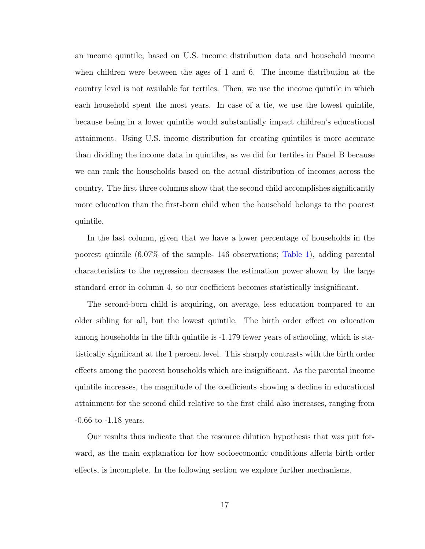an income quintile, based on U.S. income distribution data and household income when children were between the ages of 1 and 6. The income distribution at the country level is not available for tertiles. Then, we use the income quintile in which each household spent the most years. In case of a tie, we use the lowest quintile, because being in a lower quintile would substantially impact children's educational attainment. Using U.S. income distribution for creating quintiles is more accurate than dividing the income data in quintiles, as we did for tertiles in Panel B because we can rank the households based on the actual distribution of incomes across the country. The first three columns show that the second child accomplishes significantly more education than the first-born child when the household belongs to the poorest quintile.

In the last column, given that we have a lower percentage of households in the poorest quintile (6.07% of the sample- 146 observations; [Table 1\)](#page-23-0), adding parental characteristics to the regression decreases the estimation power shown by the large standard error in column 4, so our coefficient becomes statistically insignificant.

The second-born child is acquiring, on average, less education compared to an older sibling for all, but the lowest quintile. The birth order effect on education among households in the fifth quintile is -1.179 fewer years of schooling, which is statistically significant at the 1 percent level. This sharply contrasts with the birth order effects among the poorest households which are insignificant. As the parental income quintile increases, the magnitude of the coefficients showing a decline in educational attainment for the second child relative to the first child also increases, ranging from -0.66 to -1.18 years.

Our results thus indicate that the resource dilution hypothesis that was put forward, as the main explanation for how socioeconomic conditions affects birth order effects, is incomplete. In the following section we explore further mechanisms.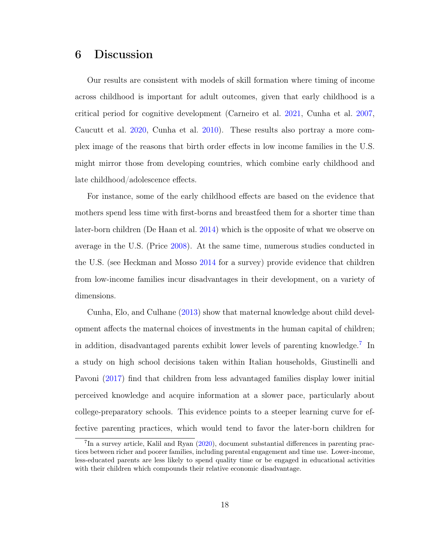# 6 Discussion

Our results are consistent with models of skill formation where timing of income across childhood is important for adult outcomes, given that early childhood is a critical period for cognitive development (Carneiro et al. [2021,](#page-34-4) Cunha et al. [2007,](#page-34-5) Caucutt et al. [2020,](#page-34-6) Cunha et al. [2010\)](#page-34-7). These results also portray a more complex image of the reasons that birth order effects in low income families in the U.S. might mirror those from developing countries, which combine early childhood and late childhood/adolescence effects.

For instance, some of the early childhood effects are based on the evidence that mothers spend less time with first-borns and breastfeed them for a shorter time than later-born children (De Haan et al. [2014\)](#page-34-0) which is the opposite of what we observe on average in the U.S. (Price [2008\)](#page-36-2). At the same time, numerous studies conducted in the U.S. (see Heckman and Mosso [2014](#page-35-6) for a survey) provide evidence that children from low-income families incur disadvantages in their development, on a variety of dimensions.

Cunha, Elo, and Culhane [\(2013\)](#page-34-9) show that maternal knowledge about child development affects the maternal choices of investments in the human capital of children; in addition, disadvantaged parents exhibit lower levels of parenting knowledge.[7](#page-19-0) In a study on high school decisions taken within Italian households, Giustinelli and Pavoni [\(2017\)](#page-35-7) find that children from less advantaged families display lower initial perceived knowledge and acquire information at a slower pace, particularly about college-preparatory schools. This evidence points to a steeper learning curve for effective parenting practices, which would tend to favor the later-born children for

<span id="page-19-0"></span><sup>7</sup> In a survey article, Kalil and Ryan [\(2020\)](#page-35-8), document substantial differences in parenting practices between richer and poorer families, including parental engagement and time use. Lower-income, less-educated parents are less likely to spend quality time or be engaged in educational activities with their children which compounds their relative economic disadvantage.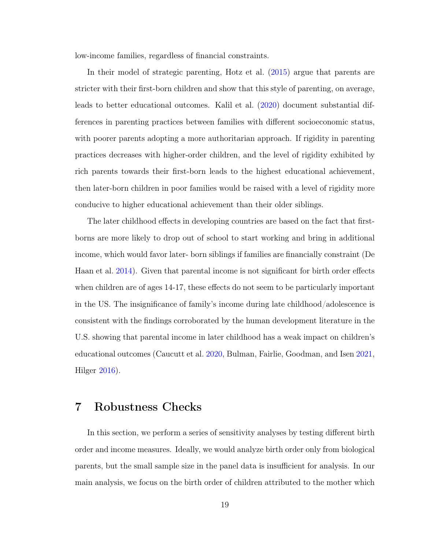low-income families, regardless of financial constraints.

In their model of strategic parenting, Hotz et al. [\(2015\)](#page-35-1) argue that parents are stricter with their first-born children and show that this style of parenting, on average, leads to better educational outcomes. Kalil et al. [\(2020\)](#page-35-8) document substantial differences in parenting practices between families with different socioeconomic status, with poorer parents adopting a more authoritarian approach. If rigidity in parenting practices decreases with higher-order children, and the level of rigidity exhibited by rich parents towards their first-born leads to the highest educational achievement, then later-born children in poor families would be raised with a level of rigidity more conducive to higher educational achievement than their older siblings.

The later childhood effects in developing countries are based on the fact that firstborns are more likely to drop out of school to start working and bring in additional income, which would favor later- born siblings if families are financially constraint (De Haan et al. [2014\)](#page-34-0). Given that parental income is not significant for birth order effects when children are of ages 14-17, these effects do not seem to be particularly important in the US. The insignificance of family's income during late childhood/adolescence is consistent with the findings corroborated by the human development literature in the U.S. showing that parental income in later childhood has a weak impact on children's educational outcomes (Caucutt et al. [2020,](#page-34-6) Bulman, Fairlie, Goodman, and Isen [2021,](#page-33-8) Hilger [2016\)](#page-35-9).

## 7 Robustness Checks

In this section, we perform a series of sensitivity analyses by testing different birth order and income measures. Ideally, we would analyze birth order only from biological parents, but the small sample size in the panel data is insufficient for analysis. In our main analysis, we focus on the birth order of children attributed to the mother which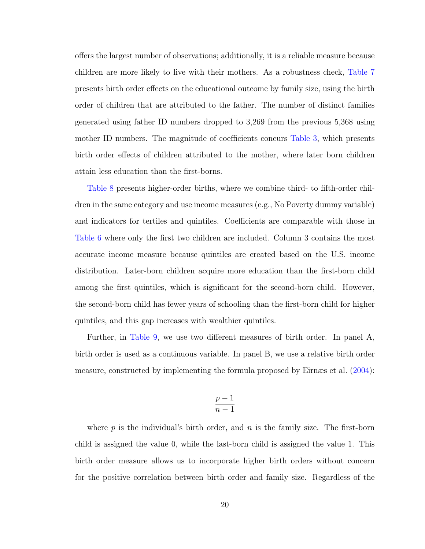offers the largest number of observations; additionally, it is a reliable measure because children are more likely to live with their mothers. As a robustness check, [Table 7](#page-29-0) presents birth order effects on the educational outcome by family size, using the birth order of children that are attributed to the father. The number of distinct families generated using father ID numbers dropped to 3,269 from the previous 5,368 using mother ID numbers. The magnitude of coefficients concurs [Table 3,](#page-25-0) which presents birth order effects of children attributed to the mother, where later born children attain less education than the first-borns.

[Table 8](#page-30-0) presents higher-order births, where we combine third- to fifth-order children in the same category and use income measures (e.g., No Poverty dummy variable) and indicators for tertiles and quintiles. Coefficients are comparable with those in [Table 6](#page-28-0) where only the first two children are included. Column 3 contains the most accurate income measure because quintiles are created based on the U.S. income distribution. Later-born children acquire more education than the first-born child among the first quintiles, which is significant for the second-born child. However, the second-born child has fewer years of schooling than the first-born child for higher quintiles, and this gap increases with wealthier quintiles.

Further, in [Table 9,](#page-31-0) we use two different measures of birth order. In panel A, birth order is used as a continuous variable. In panel B, we use a relative birth order measure, constructed by implementing the formula proposed by Eirnæs et al. [\(2004\)](#page-35-3):

$$
\frac{p-1}{n-1}
$$

where  $p$  is the individual's birth order, and  $n$  is the family size. The first-born child is assigned the value 0, while the last-born child is assigned the value 1. This birth order measure allows us to incorporate higher birth orders without concern for the positive correlation between birth order and family size. Regardless of the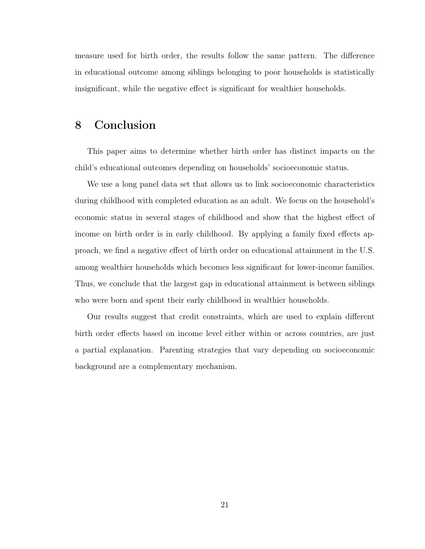measure used for birth order, the results follow the same pattern. The difference in educational outcome among siblings belonging to poor households is statistically insignificant, while the negative effect is significant for wealthier households.

# 8 Conclusion

This paper aims to determine whether birth order has distinct impacts on the child's educational outcomes depending on households' socioeconomic status.

We use a long panel data set that allows us to link socioeconomic characteristics during childhood with completed education as an adult. We focus on the household's economic status in several stages of childhood and show that the highest effect of income on birth order is in early childhood. By applying a family fixed effects approach, we find a negative effect of birth order on educational attainment in the U.S. among wealthier households which becomes less significant for lower-income families. Thus, we conclude that the largest gap in educational attainment is between siblings who were born and spent their early childhood in wealthier households.

Our results suggest that credit constraints, which are used to explain different birth order effects based on income level either within or across countries, are just a partial explanation. Parenting strategies that vary depending on socioeconomic background are a complementary mechanism.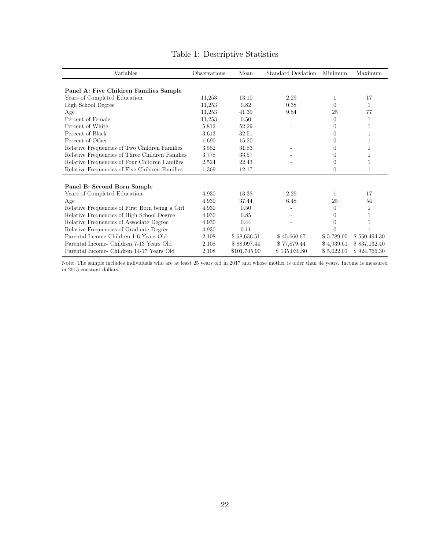<span id="page-23-0"></span>

| Variables                                       | Observations | Mean         | Standard Deviation | Minimum    | Maximum      |
|-------------------------------------------------|--------------|--------------|--------------------|------------|--------------|
| Panel A: Five Children Families Sample          |              |              |                    |            |              |
| Years of Completed Education                    | 11,253       | 13.10        | 2.29               | 1          | 17           |
| High School Degree                              | 11,253       | 0.82         | 0.38               | $\Omega$   | 1            |
| Age                                             | 11,253       | 41.39        | 9.84               | 25         | 77           |
| Percent of Female                               | 11,253       | 0.50         |                    | $\Omega$   | 1            |
| Percent of White                                | 5,812        | 52.29        |                    | $\Omega$   |              |
| Percent of Black                                | 3.613        | 32.51        |                    | $\Omega$   |              |
| Percent of Other                                | 1,690        | 15.20        |                    | 0          |              |
| Relative Frequencies of Two Children Families   | 3,582        | 31.83        |                    | $\Omega$   |              |
| Relative Frequencies of Three Children Families | 3,778        | 33.57        |                    | $\Omega$   |              |
| Relative Frequencies of Four Children Families  | 2,524        | 22.43        |                    | $\Omega$   |              |
| Relative Frequencies of Five Children Families  | 1,369        | 12.17        |                    | $\theta$   | 1            |
| Panel B: Second Born Sample                     |              |              |                    |            |              |
| Years of Completed Education                    | 4,930        | 13.38        | 2.29               | 1.         | 17           |
| Age                                             | 4,930        | 37.44        | 6.48               | 25         | 54           |
| Relative Frequencies of First Born being a Girl | 4,930        | 0.50         |                    | $\Omega$   |              |
| Relative Frequencies of High School Degree      | 4,930        | 0.85         |                    | $\Omega$   |              |
| Relative Frequencies of Associate Degree        | 4,930        | 0.44         |                    | $\theta$   |              |
| Relative Frequencies of Graduate Degree         | 4,930        | 0.11         |                    | $\Omega$   |              |
| Parental Income-Children 1-6 Years Old          | 2,108        | \$68,636.51  | \$45,660.67        | \$5,789.05 | \$550,494.30 |
| Parental Income- Children 7-13 Years Old        | 2,108        | \$88,097.44  | \$77,879.44        | \$4,939.61 | \$837,132.40 |
| Parental Income- Children 14-17 Years Old       | 2,108        | \$101,745.90 | \$135,030.80       | \$5,022.01 | \$924,766.30 |

## Table 1: Descriptive Statistics

Note: The sample includes individuals who are at least 25 years old in 2017 and whose mother is older than 44 years. Income is measured in 2015 constant dollars.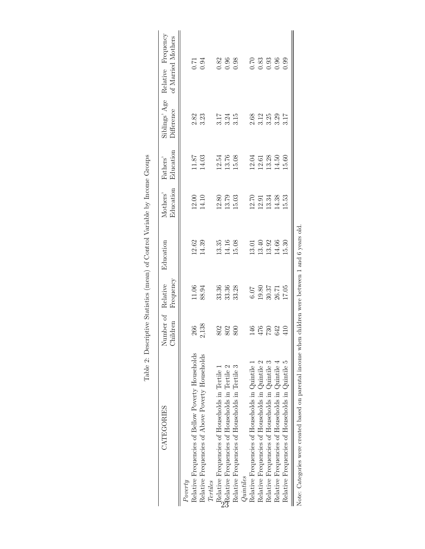<span id="page-24-0"></span>

| CATEGORIES                                                   | Number of Relative<br>Children | Frequency          | Education             | Education<br>Mothers' | Education<br>Fathers' | Difference           | Siblings' Age Relative Frequency<br>of Married Mothers  |
|--------------------------------------------------------------|--------------------------------|--------------------|-----------------------|-----------------------|-----------------------|----------------------|---------------------------------------------------------|
| Relative Frequencies of Bellow Poverty Households<br>Poverty | 266                            | 11.06              | 12.62                 |                       | $11.87\,$             |                      |                                                         |
| Relative Frequencies of Above Poverty Households             | 2,138                          | 88.94              | 14.39                 | 12.00<br>14.10        | 14.03                 | 2.82<br>3.23         | $0.71$<br>$0.94$                                        |
| Tertiles                                                     |                                |                    |                       |                       |                       |                      |                                                         |
| Relative Frequencies of Households in Tertile 1              | 802                            | 33.36              | 13.35                 |                       | 12.54                 |                      |                                                         |
| GRelative Frequencies of Households in Tertile 2             | 802                            | 33.36              | 14.16                 | 12.80<br>13.79        | 13.76                 | $3.17$<br>$3.24$     | $\begin{array}{c} 0.82 \\ 0.96 \\ 0.98 \end{array}$     |
| Relative Frequencies of Households in Tertile                | 800                            | 33.28              | 15.08                 | 15.03                 | 15.08                 | 3.15                 |                                                         |
| Quintiles                                                    |                                |                    |                       |                       |                       |                      |                                                         |
| Relative Frequencies of Households in Quintile 1             | 146                            | <b>6.07</b>        |                       | 12.70                 | 12.04                 |                      |                                                         |
| Relative Frequencies of Households in Quintile 2             | $476\atop730$                  |                    | $\frac{13.01}{13.40}$ | 12.91                 | $12.61$<br>$13.28$    |                      |                                                         |
| Relative Frequencies of Households in Quintile 3             |                                | $19.80$<br>$30.37$ | 13.92                 | 13.34                 |                       | 2.68<br>3.12<br>3.25 | $\begin{array}{c} 70 \\ 83 \\ 0.93 \\ 0.96 \end{array}$ |
| Relative Frequencies of Households in Quintile 4             | 642                            | $26.71\,$          | 14.66                 | 14.38                 | 14.50                 | 3.29                 |                                                         |
| Relative Frequencies of Households in Quintile 5             | 410                            | 17.05              | 15.30                 | 15.53                 | 15.60                 | 3.17                 | 0.99                                                    |

| ו<br>ו<br>)<br>S<br>$\ddot{\phantom{a}}$<br>Ì<br>i<br>١<br>$\frac{5}{4}$<br>I                                                                                                                                                                                                                                 |  |
|---------------------------------------------------------------------------------------------------------------------------------------------------------------------------------------------------------------------------------------------------------------------------------------------------------------|--|
| contractor in the contractor of the contractor of the contractor of the contractor of the contractor of the contractor of the contractor of the contractor of the contractor of the contractor of the contractor of the contra<br>)<br>}<br>}<br>֕<br>)<br>2211211<br>ؚ<br> <br> <br> <br>$-1$<br>Ì<br>.<br>. |  |
| こくしょう しょうこうしょう しょくりょく                                                                                                                                                                                                                                                                                         |  |
| ֧ׅׅ֧֧֧֪ׅ֧֪ׅ֖֧֪ׅ֧֧֪ׅ֧֪ׅ֧֚֚֚֚֚֚֚֚֚֚֚֚֚֚֚֚֚֚֚֚֚֚֚֚֚֚֚֚֚֚֚֚֚֡֝֟֜֡֓֡֜֓֡֜֓֡֝֬֝֓֝֬֝֓֝֬֓֝֬֓֝֬֓֝֬֝֝<br>$\frac{1}{2}$<br>$-200$                                                                                                                                                                                         |  |
| $\frac{1}{2}$<br>.<br>.<br>.<br>֖֦ׅׅׅׅׅׅ֧֦֧֧ׅ֧֦֧֚֚֚֚֚֚֚֚֚֚֚֚֚֚֚֚֚֡֕֡֡֡֡֝֡֝֡֝֬֝֬֝                                                                                                                                                                                                                              |  |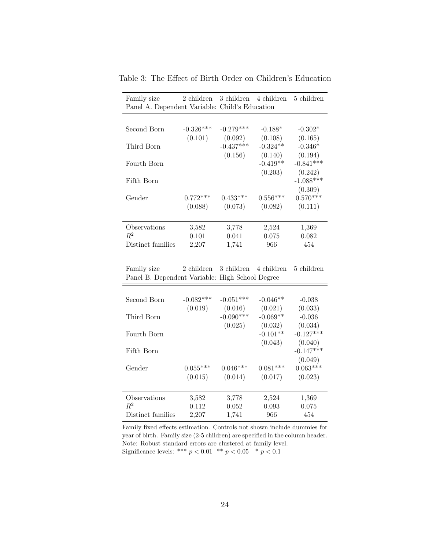<span id="page-25-0"></span>

| Family size<br>Panel A. Dependent Variable: Child's Education | 2 children   | 3 children  | 4 children | 5 children   |
|---------------------------------------------------------------|--------------|-------------|------------|--------------|
|                                                               |              |             |            |              |
| Second Born                                                   | $-0.326***$  | $-0.279***$ | $-0.188*$  | $-0.302*$    |
|                                                               | (0.101)      | (0.092)     | (0.108)    | (0.165)      |
| Third Born                                                    |              | $-0.437***$ | $-0.324**$ | $-0.346*$    |
|                                                               |              | (0.156)     | (0.140)    | (0.194)      |
| Fourth Born                                                   |              |             | $-0.419**$ | $-0.841***$  |
|                                                               |              |             | (0.203)    | (0.242)      |
| Fifth Born                                                    |              |             |            | $-1.088***$  |
|                                                               |              |             |            | (0.309)      |
| Gender                                                        | $0.772***$   | $0.433***$  | $0.556***$ | $0.570***$   |
|                                                               | (0.088)      | (0.073)     | (0.082)    | (0.111)      |
|                                                               |              |             |            |              |
| Observations                                                  | 3,582        | 3,778       | 2,524      | 1,369        |
| $R^2$                                                         | 0.101        | 0.041       | 0.075      | 0.082        |
| Distinct families                                             | 2,207        | 1,741       | 966        | 454          |
|                                                               |              |             |            |              |
| Family size                                                   | $2$ children | 3 children  | 4 children | $5$ children |
| Panel B. Dependent Variable: High School Degree               |              |             |            |              |
|                                                               |              |             |            |              |
| Second Born                                                   | $-0.082***$  | $-0.051***$ | $-0.046**$ | $-0.038$     |
|                                                               | (0.019)      | (0.016)     | (0.021)    | (0.033)      |
| Third Born                                                    |              | $-0.090***$ | $-0.069**$ | $-0.036$     |
|                                                               |              | (0.025)     | (0.032)    | (0.034)      |
| Fourth Born                                                   |              |             | $-0.101**$ | $-0.127***$  |
|                                                               |              |             | (0.043)    | (0.040)      |
| Fifth Born                                                    |              |             |            | $-0.147***$  |
|                                                               |              |             |            | (0.049)      |
| Gender                                                        | $0.055***$   | $0.046***$  | $0.081***$ | $0.063***$   |
|                                                               | (0.015)      | (0.014)     | (0.017)    | (0.023)      |
|                                                               |              |             |            |              |
| Observations                                                  | 3,582        | 3,778       | 2,524      | 1,369        |
| $R^2$                                                         | 0.112        | 0.052       | 0.093      | 0.075        |
| Distinct families                                             | 2,207        | 1,741       | 966        | 454          |

Table 3: The Effect of Birth Order on Children's Education

Family fixed effects estimation. Controls not shown include dummies for year of birth. Family size (2-5 children) are specified in the column header. Note: Robust standard errors are clustered at family level. Significance levels: \*\*\*  $p < 0.01$  \*\*  $p < 0.05$  \*  $p < 0.1$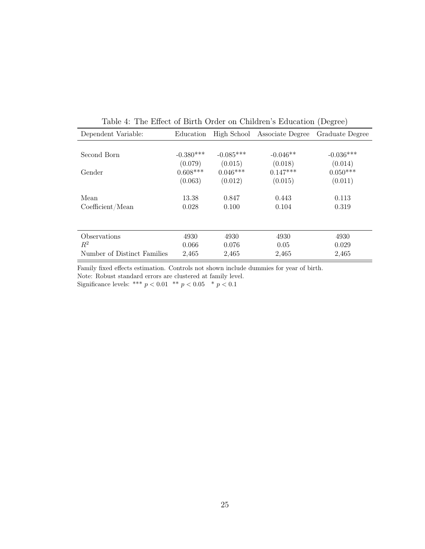<span id="page-26-0"></span>

| Dependent Variable:         | Education   | High School | Associate Degree | Graduate Degree |
|-----------------------------|-------------|-------------|------------------|-----------------|
|                             |             |             |                  |                 |
| Second Born                 | $-0.380***$ | $-0.085***$ | $-0.046**$       | $-0.036***$     |
|                             | (0.079)     | (0.015)     | (0.018)          | (0.014)         |
| Gender                      | $0.608***$  | $0.046***$  | $0.147***$       | $0.050***$      |
|                             | (0.063)     | (0.012)     | (0.015)          | (0.011)         |
| Mean                        | 13.38       | 0.847       | 0.443            | 0.113           |
| Coefficient/Mean            | 0.028       | 0.100       | 0.104            | 0.319           |
|                             |             |             |                  |                 |
| Observations                | 4930        | 4930        | 4930             | 4930            |
| $R^2$                       | 0.066       | 0.076       | 0.05             | 0.029           |
| Number of Distinct Families | 2,465       | 2,465       | 2,465            | 2,465           |

Table 4: The Effect of Birth Order on Children's Education (Degree)

Family fixed effects estimation. Controls not shown include dummies for year of birth.

Note: Robust standard errors are clustered at family level.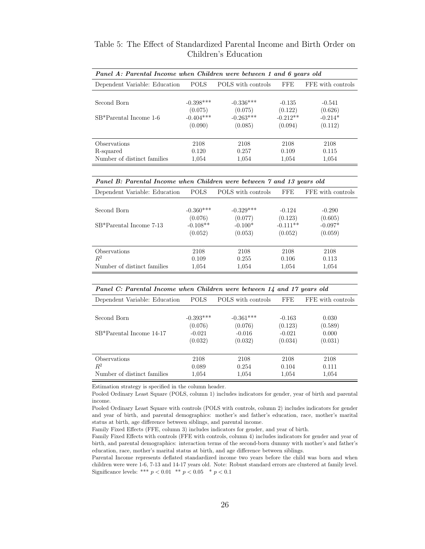| Panel A: Parental Income when Children were between 1 and 6 years old |             |                    |            |                   |  |  |
|-----------------------------------------------------------------------|-------------|--------------------|------------|-------------------|--|--|
| Dependent Variable: Education                                         | POLS        | POLS with controls | <b>FFE</b> | FFE with controls |  |  |
|                                                                       |             |                    |            |                   |  |  |
| Second Born                                                           | $-0.398***$ | $-0.336***$        | $-0.135$   | $-0.541$          |  |  |
|                                                                       | (0.075)     | (0.075)            | (0.122)    | (0.626)           |  |  |
| SB*Parental Income 1-6                                                | $-0.404***$ | $-0.263***$        | $-0.212**$ | $-0.214*$         |  |  |
|                                                                       | (0.090)     | (0.085)            | (0.094)    | (0.112)           |  |  |
|                                                                       |             |                    |            |                   |  |  |
| Observations                                                          | 2108        | 2108               | 2108       | 2108              |  |  |
| R-squared                                                             | 0.120       | 0.257              | 0.109      | 0.115             |  |  |
| Number of distinct families                                           | 1,054       | 1,054              | 1.054      | 1,054             |  |  |

Table 5: The Effect of Standardized Parental Income and Birth Order on Children's Education

| Panel B: Parental Income when Children were between 7 and 13 years old |  |  |
|------------------------------------------------------------------------|--|--|
|------------------------------------------------------------------------|--|--|

<span id="page-27-0"></span>

| Dependent Variable: Education | <b>POLS</b> | POLS with controls | FFE.       | FFE with controls |
|-------------------------------|-------------|--------------------|------------|-------------------|
|                               |             |                    |            |                   |
| Second Born                   | $-0.360***$ | $-0.329***$        | $-0.124$   | $-0.290$          |
|                               | (0.076)     | (0.077)            | (0.123)    | (0.605)           |
| SB*Parental Income 7-13       | $-0.108**$  | $-0.100*$          | $-0.111**$ | $-0.097*$         |
|                               | (0.052)     | (0.053)            | (0.052)    | (0.059)           |
|                               |             |                    |            |                   |
| <i><b>Observations</b></i>    | 2108        | 2108               | 2108       | 2108              |
| $R^2$                         | 0.109       | 0.255              | 0.106      | 0.113             |
| Number of distinct families   | 1,054       | 1,054              | 1,054      | 1,054             |

#### Panel C: Parental Income when Children were between 14 and 17 years old

| Dependent Variable: Education | <b>POLS</b> | POLS with controls | <b>FFE</b> | FFE with controls |
|-------------------------------|-------------|--------------------|------------|-------------------|
|                               |             |                    |            |                   |
| Second Born                   | $-0.393***$ | $-0.361***$        | $-0.163$   | 0.030             |
|                               | (0.076)     | (0.076)            | (0.123)    | (0.589)           |
| SB*Parental Income 14-17      | $-0.021$    | $-0.016$           | $-0.021$   | 0.000             |
|                               | (0.032)     | (0.032)            | (0.034)    | (0.031)           |
|                               |             |                    |            |                   |
| Observations                  | 2108        | 2108               | 2108       | 2108              |
| $R^2$                         | 0.089       | 0.254              | 0.104      | 0.111             |
| Number of distinct families   | 1,054       | 1,054              | 1,054      | 1,054             |

Estimation strategy is specified in the column header.

Pooled Ordinary Least Square (POLS, column 1) includes indicators for gender, year of birth and parental income.

Pooled Ordinary Least Square with controls (POLS with controls, column 2) includes indicators for gender and year of birth, and parental demographics: mother's and father's education, race, mother's marital status at birth, age difference between siblings, and parental income.

Family Fixed Effects (FFE, column 3) includes indicators for gender, and year of birth.

Family Fixed Effects with controls (FFE with controls, column 4) includes indicators for gender and year of birth, and parental demographics: interaction terms of the second-born dummy with mother's and father's education, race, mother's marital status at birth, and age difference between siblings.

Parental Income represents deflated standardized income two years before the child was born and when children were were 1-6, 7-13 and 14-17 years old. Note: Robust standard errors are clustered at family level. Significance levels: \*\*\*  $p < 0.01$  \*\*  $p < 0.05$  \*  $p < 0.1$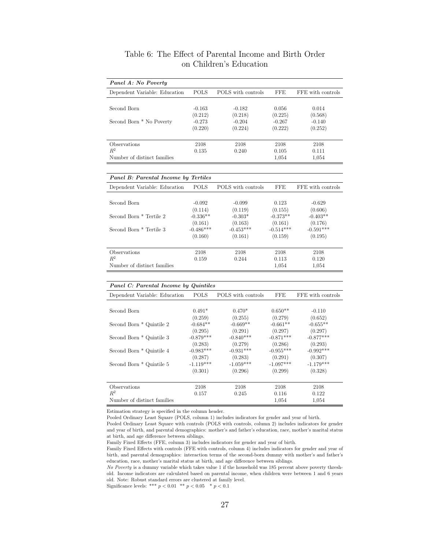| Panel A: No Poverty           |             |                    |            |                   |
|-------------------------------|-------------|--------------------|------------|-------------------|
| Dependent Variable: Education | <b>POLS</b> | POLS with controls | <b>FFE</b> | FFE with controls |
|                               |             |                    |            |                   |
| Second Born                   | $-0.163$    | $-0.182$           | 0.056      | 0.014             |
|                               | (0.212)     | (0.218)            | (0.225)    | (0.568)           |
| Second Born * No Poverty      | $-0.273$    | $-0.204$           | $-0.267$   | $-0.140$          |
|                               | (0.220)     | (0.224)            | (0.222)    | (0.252)           |
|                               |             |                    |            |                   |
| <b>Observations</b>           | 2108        | 2108               | 2108       | 2108              |
| $R^2$                         | 0.135       | 0.240              | 0.105      | 0.111             |
| Number of distinct families   |             |                    | 1.054      | 1.054             |

#### Table 6: The Effect of Parental Income and Birth Order on Children's Education

#### Panel B: Parental Income by Tertiles Dependent Variable: Education POLS POLS with controls FFE FFE with controls Second Born -0.092 -0.099 0.123 -0.629<br>(0.114) -0.019 (0.119) (0.155) (0.606)  $(0.114)$   $(0.119)$   $(0.155)$   $(0.606)$  $\begin{array}{ccccccccc} & & & & & (0.114) & & & (0.119) & & & (0.155) & & (0.606) \\ \text{Second Born * Tertile 2} & & & & & -0.336^{**} & & & -0.303^{*} & & & -0.373^{**} & & & -0.403^{**} \\ & & & & & & (0.161) & & & (0.163) & & & (0.161) & & & (0.176) \end{array}$  $(0.161)$   $(0.163)$   $(0.161)$   $(0.176)$ Second Born \* Tertile 3  $-0.486^{***}$   $-0.453^{***}$   $-0.514^{***}$   $-0.514^{***}$   $-0.591^{***}$   $-0.591^{***}$   $-0.591^{***}$  $(0.159)$  $\begin{tabular}{lcccccc} Observations & & & & 2108 & & & 2108 & & & 2108 & & & 2108 \\ & & & & & 0.159 & & & 0.244 & & & 0.113 & & & 0.120 \\ \end{tabular}$  $R^2$  0.159 0.244 0.113 0.120  $R^2$  0.120<br>
Number of distinct families 0.159 0.244 0.113 0.120<br>
1.054 1.054

<span id="page-28-0"></span>

|                               | Panel C: Parental Income by Quintiles |                    |             |                   |  |  |  |
|-------------------------------|---------------------------------------|--------------------|-------------|-------------------|--|--|--|
| Dependent Variable: Education | <b>POLS</b>                           | POLS with controls | FFE.        | FFE with controls |  |  |  |
|                               |                                       |                    |             |                   |  |  |  |
| Second Born                   | $0.491*$                              | $0.470*$           | $0.650**$   | $-0.110$          |  |  |  |
|                               | (0.259)                               | (0.255)            | (0.279)     | (0.652)           |  |  |  |
| Second Born * Quintile 2      | $-0.684**$                            | $-0.669**$         | $-0.661**$  | $-0.655**$        |  |  |  |
|                               | (0.295)                               | (0.291)            | (0.297)     | (0.297)           |  |  |  |
| Second Born * Quintile 3      | $-0.879***$                           | $-0.840***$        | $-0.871***$ | $-0.877***$       |  |  |  |
|                               | (0.283)                               | (0.279)            | (0.286)     | (0.293)           |  |  |  |
| Second Born * Quintile 4      | $-0.983***$                           | $-0.931***$        | $-0.955***$ | $-0.992***$       |  |  |  |
|                               | (0.287)                               | (0.283)            | (0.291)     | (0.307)           |  |  |  |
| Second Born * Quintile 5      | $-1.119***$                           | $-1.059***$        | $-1.097***$ | $-1.179***$       |  |  |  |
|                               | (0.301)                               | (0.296)            | (0.299)     | (0.328)           |  |  |  |
|                               |                                       |                    |             |                   |  |  |  |
| <i><b>Observations</b></i>    | 2108                                  | 2108               | 2108        | 2108              |  |  |  |
| $R^2$                         | 0.157                                 | 0.245              | 0.116       | 0.122             |  |  |  |
| Number of distinct families   |                                       |                    | 1,054       | 1,054             |  |  |  |

Estimation strategy is specified in the column header.

Pooled Ordinary Least Square (POLS, column 1) includes indicators for gender and year of birth.

Pooled Ordinary Least Square with controls (POLS with controls, column 2) includes indicators for gender and year of birth, and parental demographics: mother's and father's education, race, mother's marital status at birth, and age difference between siblings.

Family Fixed Effects (FFE, column 3) includes indicators for gender and year of birth.

Family Fixed Effects with controls (FFE with controls, column 4) includes indicators for gender and year of birth, and parental demographics: interaction terms of the second-born dummy with mother's and father's education, race, mother's marital status at birth, and age difference between siblings.

No Poverty is a dummy variable which takes value 1 if the household was 185 percent above poverty threshold. Income indicators are calculated based on parental income, when children were between 1 and 6 years old. Note: Robust standard errors are clustered at family level.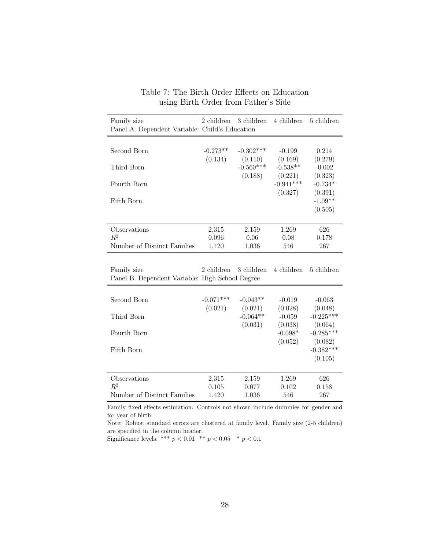<span id="page-29-0"></span>

| Family size<br>Panel A. Dependent Variable: Child's Education  | 2 children             | 3 children             | 4 children                      | 5 children                        |
|----------------------------------------------------------------|------------------------|------------------------|---------------------------------|-----------------------------------|
| Second Born                                                    | $-0.273**$<br>(0.134)  | $-0.302***$<br>(0.110) | $-0.199$<br>(0.169)             | 0.214<br>(0.279)                  |
| Third Born                                                     |                        | $-0.560***$<br>(0.188) | $-0.538**$<br>(0.221)           | $-0.002$<br>(0.323)               |
| Fourth Born                                                    |                        |                        | $-0.941***$<br>(0.327)          | $-0.734*$<br>(0.391)              |
| Fifth Born                                                     |                        |                        |                                 | $-1.09**$<br>(0.505)              |
| Observations                                                   | 2,315                  | 2,159                  | 1,269                           | 626                               |
| $R^2$                                                          | 0.096                  | 0.06                   | 0.08                            | 0.178                             |
| Number of Distinct Families                                    | 1,420                  | 1,036                  | 546                             | 267                               |
|                                                                |                        |                        |                                 |                                   |
| Family size<br>Panel B. Dependent Variable: High School Degree | $2$ children $\,$      | 3 children             | 4 children                      | 5 children                        |
| Second Born                                                    | $-0.071***$<br>(0.021) | $-0.043**$<br>(0.021)  | $-0.019$<br>(0.028)             | $-0.063$<br>(0.048)               |
| Third Born                                                     |                        | $-0.064**$             | $-0.059$                        | $-0.225***$                       |
| Fourth Born                                                    |                        | (0.031)                | (0.038)<br>$-0.098*$<br>(0.052) | (0.064)<br>$-0.285***$<br>(0.082) |
| Fifth Born                                                     |                        |                        |                                 | $-0.382***$<br>(0.105)            |
| Observations                                                   | 2,315                  | 2,159                  | 1,269                           | 626                               |
| $R^2$                                                          | 0.105                  | 0.077                  | 0.102                           | 0.158                             |
| Number of Distinct Families                                    | 1,420                  | 1,036                  | 546                             | 267                               |

#### Table 7: The Birth Order Effects on Education using Birth Order from Father's Side

Family fixed effects estimation. Controls not shown include dummies for gender and for year of birth.

Note: Robust standard errors are clustered at family level. Family size (2-5 children) are specified in the column header.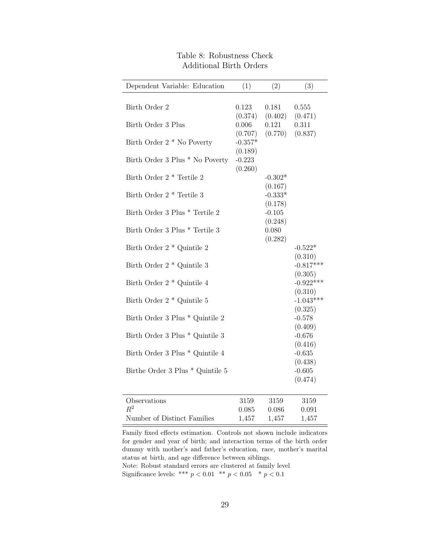<span id="page-30-0"></span>

| Dependent Variable: Education        | (1)       | (2)       | (3)         |
|--------------------------------------|-----------|-----------|-------------|
|                                      |           |           |             |
| Birth Order 2                        | 0.123     | 0.181     | 0.555       |
|                                      | (0.374)   | (0.402)   | (0.471)     |
| Birth Order 3 Plus                   | 0.006     | 0.121     | 0.311       |
|                                      | (0.707)   | (0.770)   | (0.837)     |
| Birth Order $2 *$ No Poverty         | $-0.357*$ |           |             |
|                                      | (0.189)   |           |             |
| Birth Order 3 Plus * No Poverty      | $-0.223$  |           |             |
|                                      | (0.260)   |           |             |
| Birth Order 2 <sup>*</sup> Tertile 2 |           | $-0.302*$ |             |
|                                      |           | (0.167)   |             |
| Birth Order 2 * Tertile 3            |           | $-0.333*$ |             |
|                                      |           | (0.178)   |             |
| Birth Order 3 Plus * Tertile 2       |           | $-0.105$  |             |
|                                      |           | (0.248)   |             |
| Birth Order 3 Plus * Tertile 3       |           | 0.080     |             |
|                                      |           | (0.282)   |             |
| Birth Order 2 * Quintile 2           |           |           | $-0.522*$   |
|                                      |           |           | (0.310)     |
| Birth Order 2 * Quintile 3           |           |           | $-0.817***$ |
|                                      |           |           | (0.305)     |
| Birth Order $2 *$ Quintile 4         |           |           | $-0.922***$ |
|                                      |           |           | (0.310)     |
| Birth Order $2 *$ Quintile 5         |           |           | $-1.043***$ |
|                                      |           |           | (0.325)     |
| Birth Order 3 Plus $^*$ Quintile $2$ |           |           | $-0.578$    |
|                                      |           |           | (0.409)     |
| Birth Order 3 Plus * Quintile 3      |           |           | $-0.676$    |
|                                      |           |           | (0.416)     |
| Birth Order 3 Plus * Quintile 4      |           |           | $-0.635$    |
|                                      |           |           | (0.438)     |
| Birthe Order 3 Plus * Quintile 5     |           |           | $-0.605$    |
|                                      |           |           | (0.474)     |
|                                      |           |           |             |
| Observations                         | 3159      | 3159      | 3159        |
| $R^2$                                | 0.085     | 0.086     | 0.091       |
| Number of Distinct Families          | 1,457     | 1,457     | 1,457       |

## Table 8: Robustness Check Additional Birth Orders

Family fixed effects estimation. Controls not shown include indicators for gender and year of birth; and interaction terms of the birth order dummy with mother's and father's education, race, mother's marital status at birth, and age difference between siblings. Note: Robust standard errors are clustered at family level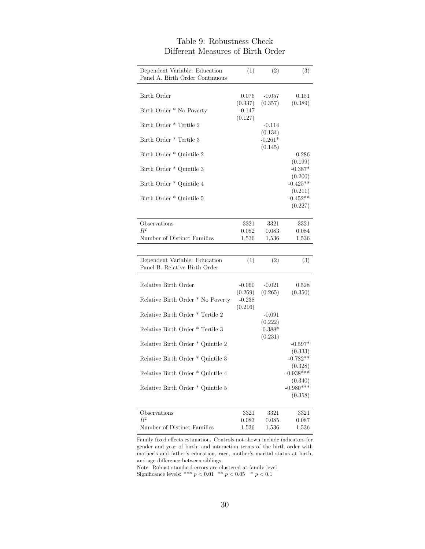<span id="page-31-0"></span>

| Dependent Variable: Education<br>Panel A. Birth Order Continuous | (1)                 | (2)                  | (3)                               |
|------------------------------------------------------------------|---------------------|----------------------|-----------------------------------|
| Birth Order                                                      | 0.076<br>(0.337)    | $-0.057$<br>(0.357)  | 0.151<br>(0.389)                  |
| Birth Order * No Poverty                                         | $-0.147$<br>(0.127) |                      |                                   |
| Birth Order * Tertile 2                                          |                     | $-0.114$<br>(0.134)  |                                   |
| Birth Order * Tertile 3                                          |                     | $-0.261*$<br>(0.145) |                                   |
| Birth Order * Quintile 2                                         |                     |                      | $-0.286$<br>(0.199)               |
| Birth Order * Quintile 3                                         |                     |                      | $-0.387*$<br>(0.200)              |
| Birth Order * Quintile 4                                         |                     |                      | $-0.425**$                        |
| Birth Order * Quintile 5                                         |                     |                      | (0.211)<br>$-0.452**$             |
|                                                                  |                     |                      | (0.227)                           |
| Observations                                                     | 3321                | 3321                 | 3321                              |
| $R^2$<br>Number of Distinct Families                             | 0.082<br>1,536      | 0.083<br>1,536       | 0.084<br>1,536                    |
|                                                                  |                     |                      |                                   |
|                                                                  |                     |                      |                                   |
| Dependent Variable: Education<br>Panel B. Relative Birth Order   | (1)                 | (2)                  | (3)                               |
| Relative Birth Order                                             | $-0.060$            | $-0.021$             | 0.528                             |
| Relative Birth Order * No Poverty                                | (0.269)<br>$-0.238$ | (0.265)              | (0.350)                           |
| Relative Birth Order * Tertile 2                                 | (0.216)             | $-0.091$             |                                   |
|                                                                  |                     | (0.222)              |                                   |
| Relative Birth Order * Tertile 3                                 |                     | $-0.388*$            |                                   |
| Relative Birth Order * Quintile 2                                |                     | (0.231)              | $-0.597*$                         |
| Relative Birth Order * Quintile 3                                |                     |                      | (0.333)<br>$-0.782**$             |
| Relative Birth Order * Quintile 4                                |                     |                      | (0.328)<br>$-0.938***$            |
| Relative Birth Order * Quintile 5                                |                     |                      | (0.340)<br>$-0.980***$<br>(0.358) |
| Observations                                                     | 3321                | 3321                 | 3321                              |
| $\,R^2$                                                          | 0.083               | 0.085                | 0.087                             |

## Table 9: Robustness Check Different Measures of Birth Order

Family fixed effects estimation. Controls not shown include indicators for gender and year of birth; and interaction terms of the birth order with mother's and father's education, race, mother's marital status at birth, and age difference between siblings.

Number of Distinct Families 1,536 1,536 1,536

Note: Robust standard errors are clustered at family level Significance levels: \*\*\*  $p < 0.01 \;$  \*\*  $p < 0.05 \;$  \*  $p < 0.1$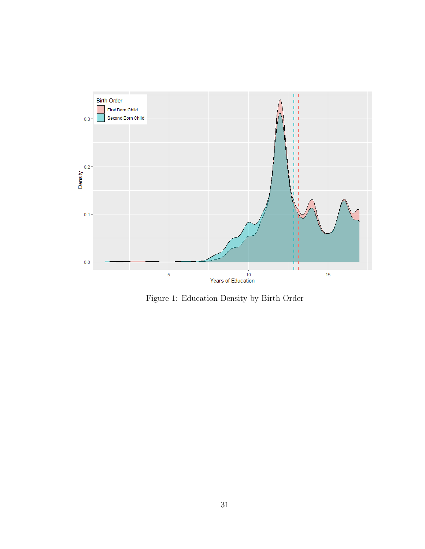<span id="page-32-0"></span>

Figure 1: Education Density by Birth Order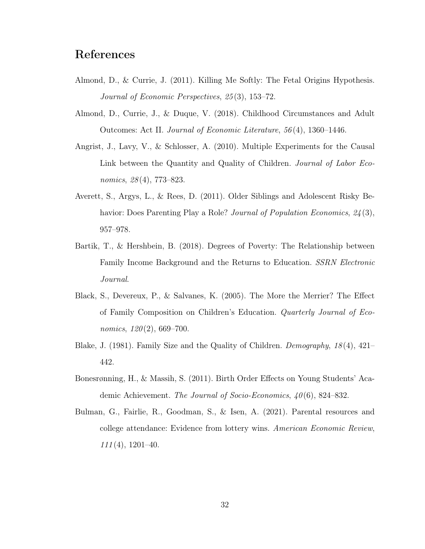# References

- <span id="page-33-0"></span>Almond, D., & Currie, J. (2011). Killing Me Softly: The Fetal Origins Hypothesis. Journal of Economic Perspectives, 25 (3), 153–72.
- <span id="page-33-5"></span>Almond, D., Currie, J., & Duque, V. (2018). Childhood Circumstances and Adult Outcomes: Act II. Journal of Economic Literature, 56 (4), 1360–1446.
- <span id="page-33-6"></span>Angrist, J., Lavy, V., & Schlosser, A. (2010). Multiple Experiments for the Causal Link between the Quantity and Quality of Children. Journal of Labor Economics, 28(4), 773–823.
- <span id="page-33-3"></span>Averett, S., Argys, L., & Rees, D. (2011). Older Siblings and Adolescent Risky Behavior: Does Parenting Play a Role? *Journal of Population Economics*,  $24(3)$ , 957–978.
- <span id="page-33-7"></span>Bartik, T., & Hershbein, B. (2018). Degrees of Poverty: The Relationship between Family Income Background and the Returns to Education. SSRN Electronic Journal.
- <span id="page-33-4"></span>Black, S., Devereux, P., & Salvanes, K. (2005). The More the Merrier? The Effect of Family Composition on Children's Education. Quarterly Journal of Economics,  $120(2)$ , 669-700.
- <span id="page-33-2"></span>Blake, J. (1981). Family Size and the Quality of Children. Demography, 18 (4), 421– 442.
- <span id="page-33-1"></span>Bonesrønning, H., & Massih, S. (2011). Birth Order Effects on Young Students' Academic Achievement. The Journal of Socio-Economics, 40(6), 824–832.
- <span id="page-33-8"></span>Bulman, G., Fairlie, R., Goodman, S., & Isen, A. (2021). Parental resources and college attendance: Evidence from lottery wins. American Economic Review,  $111(4)$ , 1201–40.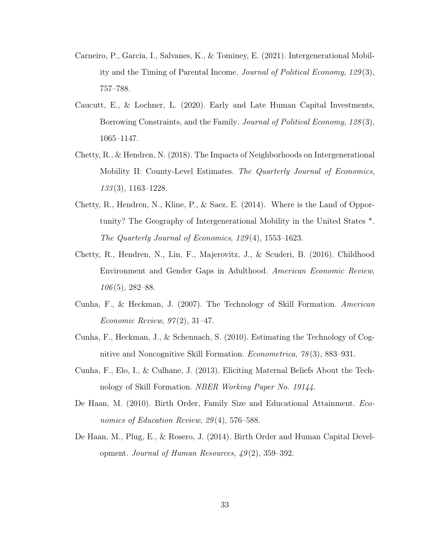- <span id="page-34-4"></span>Carneiro, P., García, I., Salvanes, K., & Tominey, E. (2021). Intergenerational Mobility and the Timing of Parental Income. Journal of Political Economy, 129 (3), 757–788.
- <span id="page-34-6"></span>Caucutt, E., & Lochner, L. (2020). Early and Late Human Capital Investments, Borrowing Constraints, and the Family. Journal of Political Economy, 128(3), 1065–1147.
- <span id="page-34-3"></span>Chetty, R., & Hendren, N. (2018). The Impacts of Neighborhoods on Intergenerational Mobility II: County-Level Estimates. The Quarterly Journal of Economics, 133 (3), 1163–1228.
- <span id="page-34-1"></span>Chetty, R., Hendren, N., Kline, P., & Saez, E. (2014). Where is the Land of Opportunity? The Geography of Intergenerational Mobility in the United States \*. The Quarterly Journal of Economics, 129 (4), 1553–1623.
- <span id="page-34-2"></span>Chetty, R., Hendren, N., Lin, F., Majerovitz, J., & Scuderi, B. (2016). Childhood Environment and Gender Gaps in Adulthood. American Economic Review,  $106(5)$ , 282–88.
- <span id="page-34-5"></span>Cunha, F., & Heckman, J. (2007). The Technology of Skill Formation. American Economic Review,  $97(2)$ , 31–47.
- <span id="page-34-7"></span>Cunha, F., Heckman, J., & Schennach, S. (2010). Estimating the Technology of Cognitive and Noncognitive Skill Formation. Econometrica, 78 (3), 883–931.
- <span id="page-34-9"></span>Cunha, F., Elo, I., & Culhane, J. (2013). Eliciting Maternal Beliefs About the Technology of Skill Formation. NBER Working Paper No. 19144.
- <span id="page-34-8"></span>De Haan, M. (2010). Birth Order, Family Size and Educational Attainment. Economics of Education Review, 29(4), 576–588.
- <span id="page-34-0"></span>De Haan, M., Plug, E., & Rosero, J. (2014). Birth Order and Human Capital Development. Journal of Human Resources,  $49(2)$ , 359–392.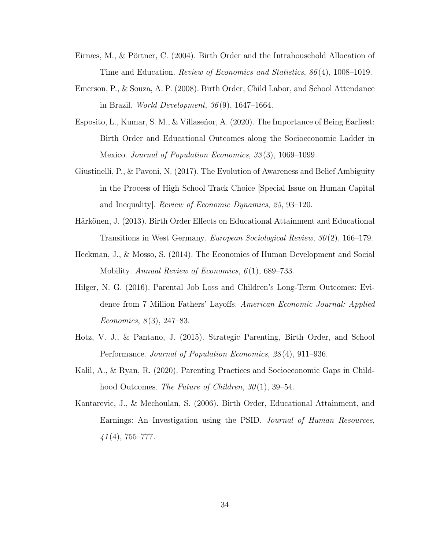- <span id="page-35-3"></span>Eirnæs, M., & Pörtner, C. (2004). Birth Order and the Intrahousehold Allocation of Time and Education. Review of Economics and Statistics, 86 (4), 1008–1019.
- <span id="page-35-2"></span>Emerson, P., & Souza, A. P. (2008). Birth Order, Child Labor, and School Attendance in Brazil. World Development, 36 (9), 1647–1664.
- <span id="page-35-0"></span>Esposito, L., Kumar, S. M., & Villaseñor, A. (2020). The Importance of Being Earliest: Birth Order and Educational Outcomes along the Socioeconomic Ladder in Mexico. Journal of Population Economics, 33 (3), 1069–1099.
- <span id="page-35-7"></span>Giustinelli, P., & Pavoni, N. (2017). The Evolution of Awareness and Belief Ambiguity in the Process of High School Track Choice [Special Issue on Human Capital and Inequality]. Review of Economic Dynamics, 25, 93–120.
- <span id="page-35-4"></span>Härkönen, J. (2013). Birth Order Effects on Educational Attainment and Educational Transitions in West Germany. European Sociological Review, 30 (2), 166–179.
- <span id="page-35-6"></span>Heckman, J., & Mosso, S. (2014). The Economics of Human Development and Social Mobility. Annual Review of Economics,  $6(1)$ , 689–733.
- <span id="page-35-9"></span>Hilger, N. G. (2016). Parental Job Loss and Children's Long-Term Outcomes: Evidence from 7 Million Fathers' Layoffs. American Economic Journal: Applied Economics,  $8(3)$ , 247–83.
- <span id="page-35-1"></span>Hotz, V. J., & Pantano, J. (2015). Strategic Parenting, Birth Order, and School Performance. Journal of Population Economics, 28 (4), 911–936.
- <span id="page-35-8"></span>Kalil, A., & Ryan, R. (2020). Parenting Practices and Socioeconomic Gaps in Childhood Outcomes. The Future of Children,  $30(1)$ , 39–54.
- <span id="page-35-5"></span>Kantarevic, J., & Mechoulan, S. (2006). Birth Order, Educational Attainment, and Earnings: An Investigation using the PSID. Journal of Human Resources,  $41(4)$ , 755–777.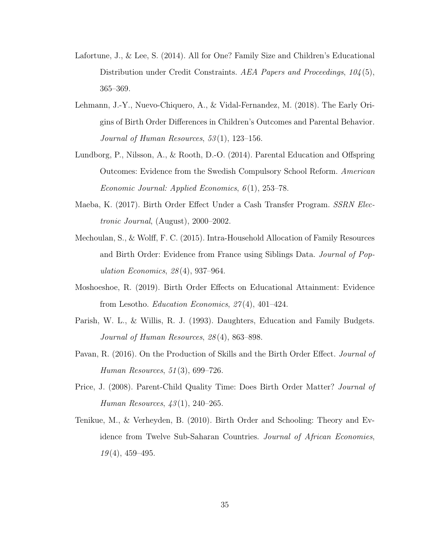- <span id="page-36-6"></span>Lafortune, J., & Lee, S. (2014). All for One? Family Size and Children's Educational Distribution under Credit Constraints. AEA Papers and Proceedings, 104(5), 365–369.
- <span id="page-36-1"></span>Lehmann, J.-Y., Nuevo-Chiquero, A., & Vidal-Fernandez, M. (2018). The Early Origins of Birth Order Differences in Children's Outcomes and Parental Behavior. Journal of Human Resources,  $53(1)$ , 123-156.
- <span id="page-36-0"></span>Lundborg, P., Nilsson, A., & Rooth, D.-O. (2014). Parental Education and Offspring Outcomes: Evidence from the Swedish Compulsory School Reform. American Economic Journal: Applied Economics, 6 (1), 253–78.
- <span id="page-36-9"></span>Maeba, K. (2017). Birth Order Effect Under a Cash Transfer Program. SSRN Electronic Journal, (August), 2000–2002.
- <span id="page-36-3"></span>Mechoulan, S., & Wolff, F. C. (2015). Intra-Household Allocation of Family Resources and Birth Order: Evidence from France using Siblings Data. Journal of Population Economics, 28 (4), 937–964.
- <span id="page-36-7"></span>Moshoeshoe, R. (2019). Birth Order Effects on Educational Attainment: Evidence from Lesotho. *Education Economics*,  $27(4)$ ,  $401-424$ .
- <span id="page-36-5"></span>Parish, W. L., & Willis, R. J. (1993). Daughters, Education and Family Budgets. Journal of Human Resources, 28 (4), 863–898.
- <span id="page-36-4"></span>Pavan, R. (2016). On the Production of Skills and the Birth Order Effect. Journal of Human Resources, 51 (3), 699–726.
- <span id="page-36-2"></span>Price, J. (2008). Parent-Child Quality Time: Does Birth Order Matter? Journal of Human Resources, 43 (1), 240–265.
- <span id="page-36-8"></span>Tenikue, M., & Verheyden, B. (2010). Birth Order and Schooling: Theory and Evidence from Twelve Sub-Saharan Countries. Journal of African Economies,  $19(4)$ , 459-495.